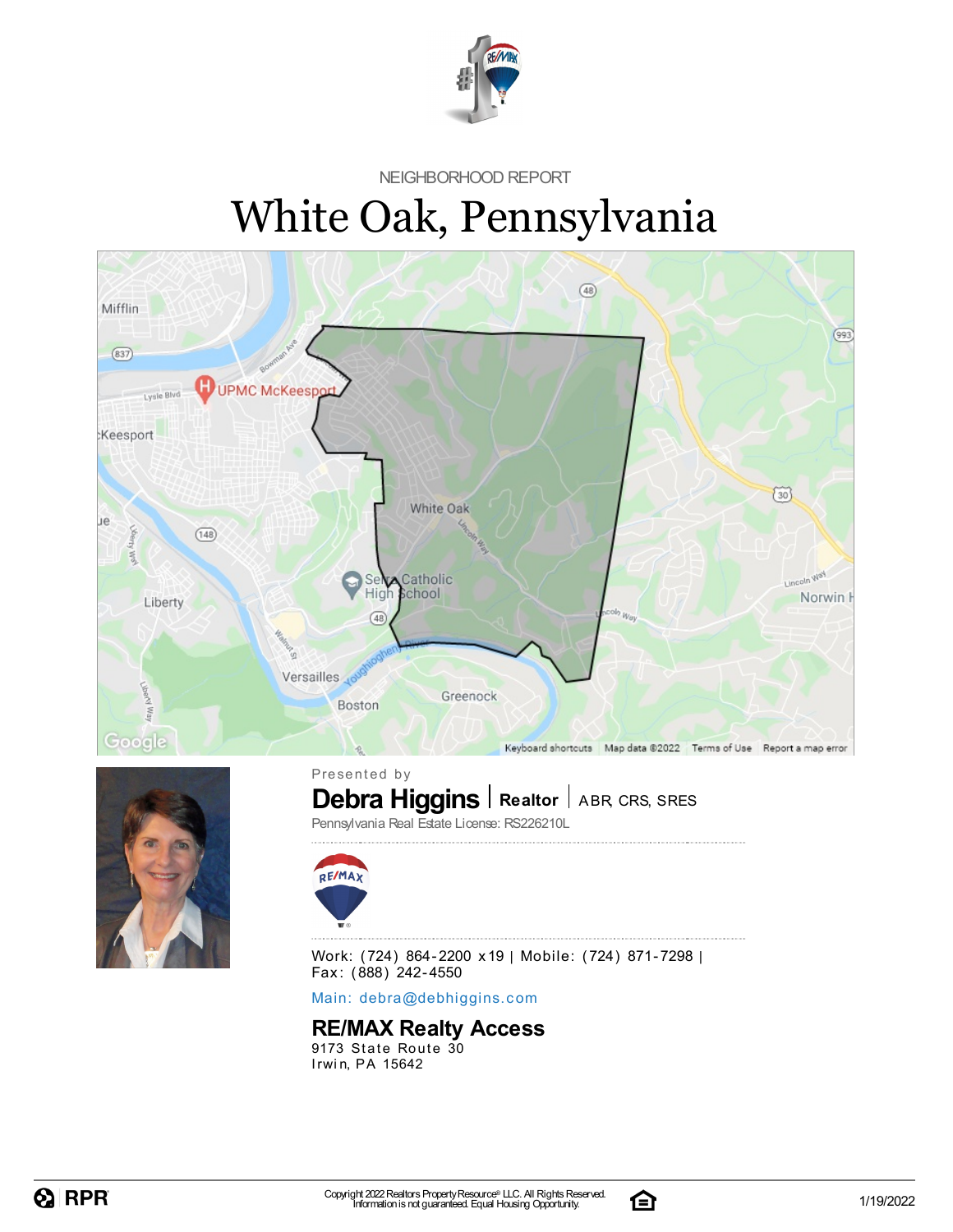

NEIGHBORHOOD REPORT

# White Oak, Pennsylvania





**Debra Higgins** | Realtor | ABR, CRS, SRES Presented by

Pennsylvania Real Estate License: RS226210L



Work: (724) 864-2200 x19 | Mobile: (724) 871-7298 |

Fax: (888) 242-4550

Main: debra[@](mailto:debra@debhiggins.com)debhiggins.com

#### **RE/MAX Realty Access**

9173 State Route 30 Irwin, PA 15642

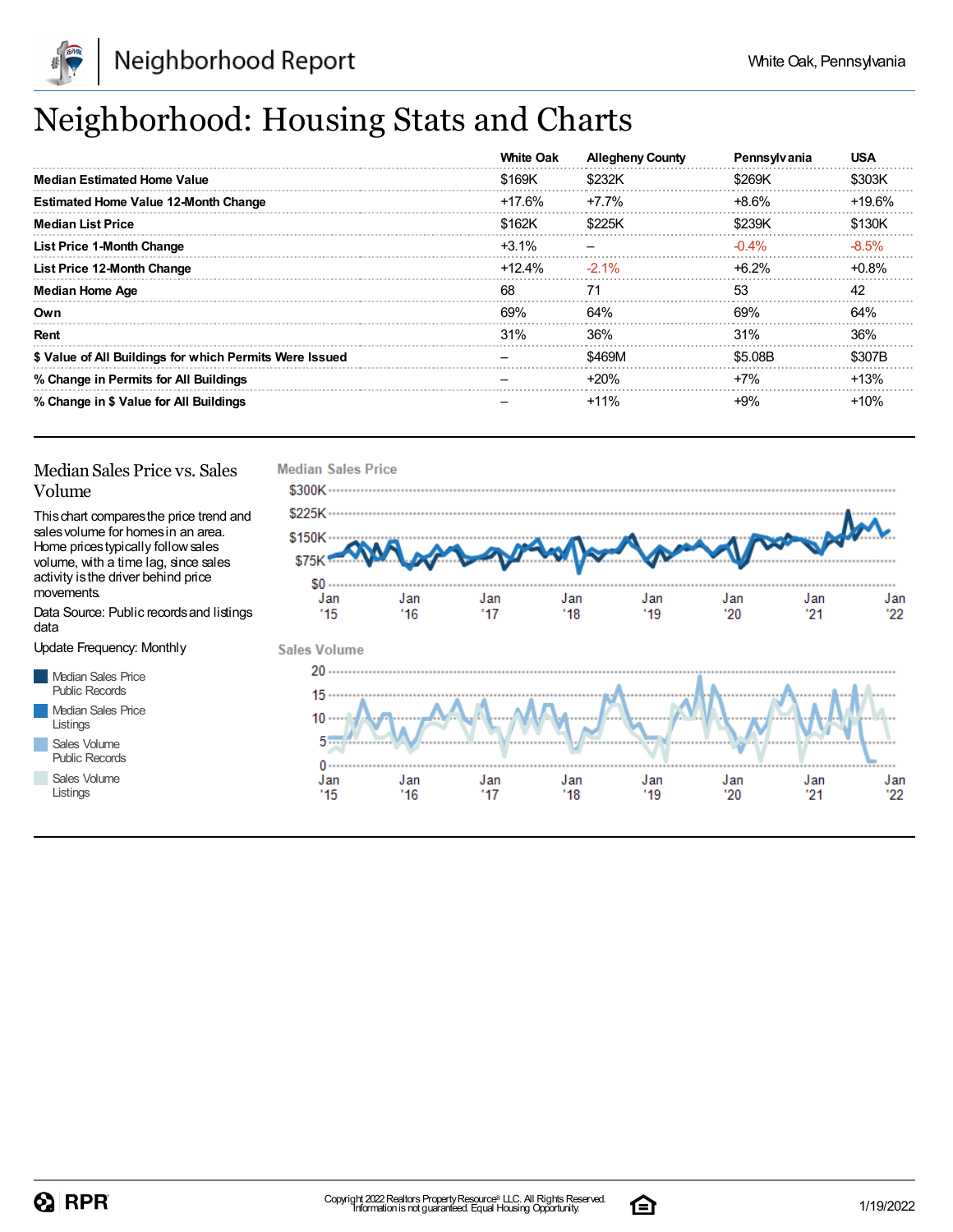

# Neighborhood: Housing Stats and Charts

|                                                         | <b>White Oak</b> | <b>Allegheny County</b> | <b>Pennsylvania</b> | <b>USA</b> |
|---------------------------------------------------------|------------------|-------------------------|---------------------|------------|
| <b>Median Estimated Home Value</b>                      | \$169K           | \$232K                  | \$269K              | \$303K     |
| <b>Estimated Home Value 12-Month Change</b>             | +17.6%           | +7.7%                   | $+8.6\%$            | +19.6%     |
| <b>Median List Price</b>                                | \$162K           | \$225K                  | \$239K              | \$130K     |
| <b>List Price 1-Month Change</b>                        | +3.1%            |                         | $-0.4%$             | $-8.5%$    |
| List Price 12-Month Change                              | +12.4%           | $-2.1\%$                | $+6.2%$             | $+0.8%$    |
| <b>Median Home Age</b>                                  | 68               | 71                      | 53                  | 42         |
| Own                                                     | 69%              | 64%                     | 69%                 | 64%        |
| Rent                                                    | 31%              | 36%                     | 31%                 | 36%        |
| \$ Value of All Buildings for which Permits Were Issued |                  | \$469M                  | \$5.08B             | \$307B     |
| % Change in Permits for All Buildings                   |                  | $+20%$                  | $+7%$               | $+13%$     |
| % Change in \$ Value for All Buildings                  |                  | $+11\%$                 | $+9%$               | $+10%$     |

#### Median Sales Price vs. Sales Volume

Thischart comparesthe price trend and salesvolume for homesin an area. Home pricestypically followsales volume, with a time lag, since sales activity isthe driver behind price movements.

Data Source: Public recordsand listings data

Update Frequency: Monthly

Median Sales Price Public Records Median Sales Price Listings Sales Volume

Public Records Sales Volume

Listings



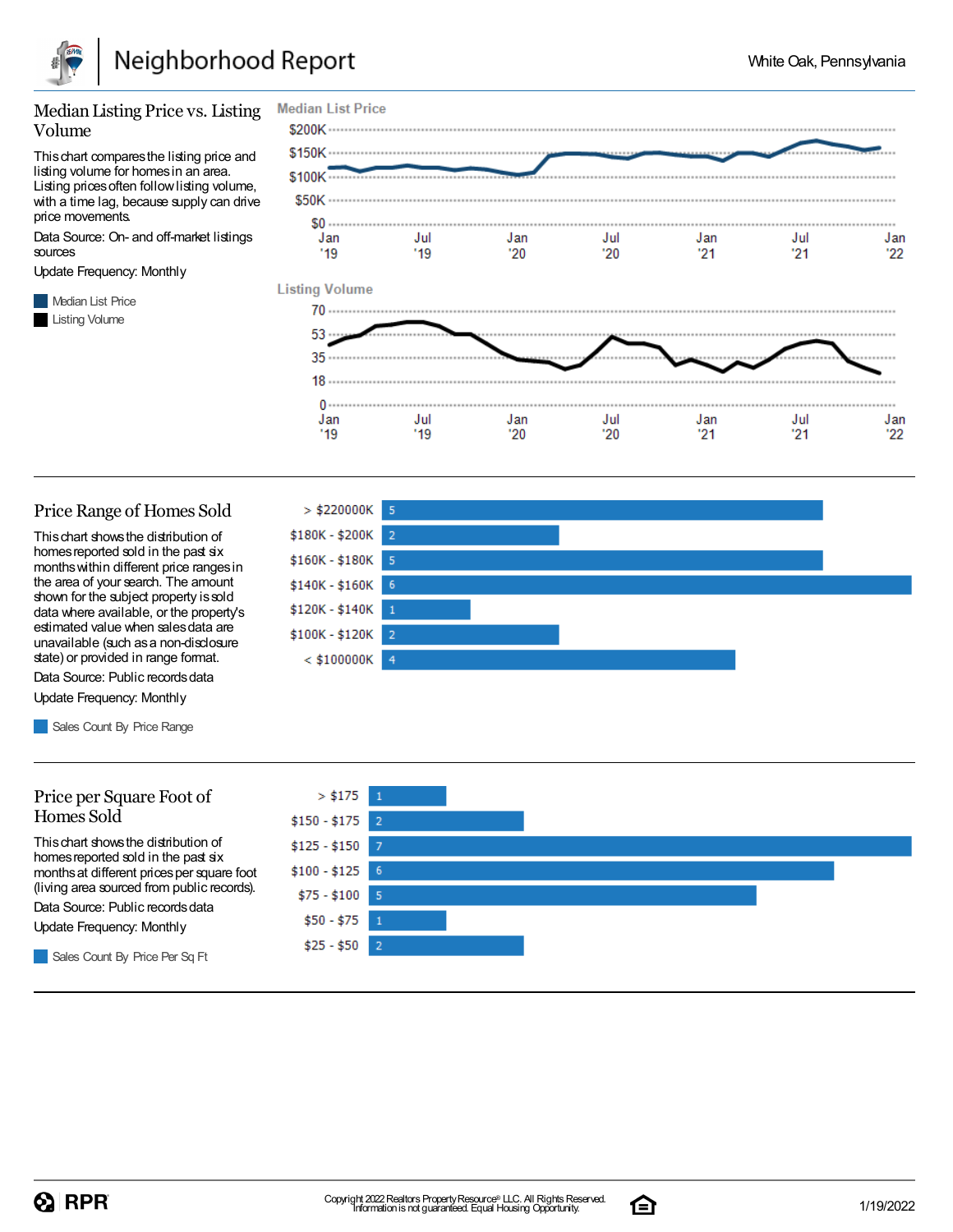

#### Median Listing Price vs. Listing Volume

Thischart comparesthe listing price and listing volume for homesin an area. Listing prices often follow listing volume, with a time lag, because supply can drive price movements.

Data Source: On- and off-market listings sources

Update Frequency: Monthly

**Median List Price** Listing Volume



#### Price Range of Homes Sold

Thischart showsthe distribution of homes reported sold in the past six monthswithin different price rangesin the area of your search. The amount shown for the subject property issold data where available, or the property's estimated value when salesdata are unavailable (such asa non-disclosure state) or provided in range format.



Data Source: Public records data Update Frequency: Monthly

Sales Count By Price Range

#### Price per Square Foot of Homes Sold

Thischart showsthe distribution of homes reported sold in the past six monthsat different pricesper square foot (living area sourced from public records).

Data Source: Public records data

Update Frequency: Monthly

Sales Count By Price Per Sq Ft



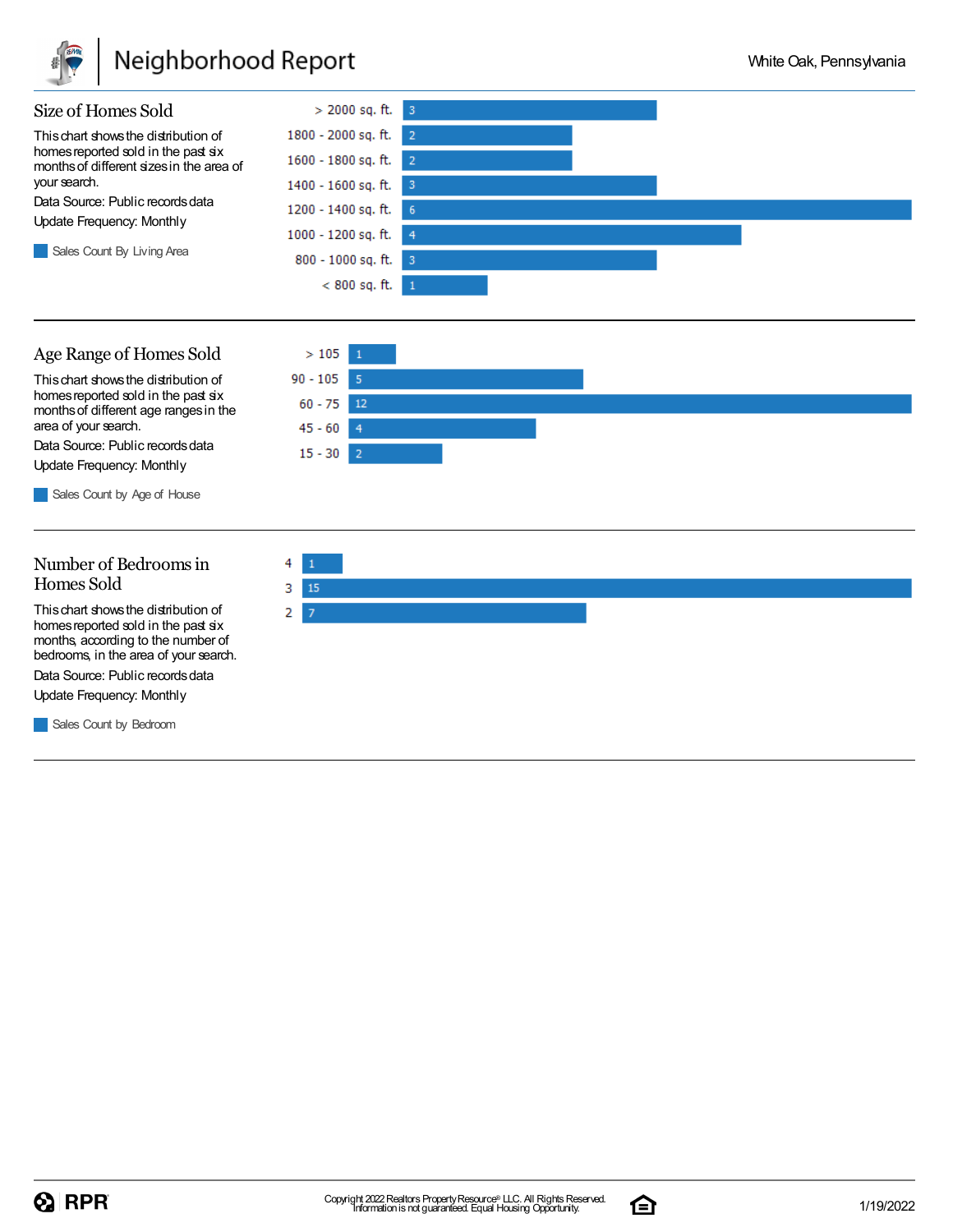

### Neighborhood Report



#### Age Range of Homes Sold

Thischart showsthe distribution of homes reported sold in the past six monthsof different age rangesin the area of your search.



Sales Count by Age of House

#### Number of Bedroomsin Homes Sold

Thischart showsthe distribution of homes reported sold in the past six months, according to the number of bedrooms, in the area of your search.

Data Source: Public records data

Update Frequency: Monthly

**Sales Count by Bedroom** 





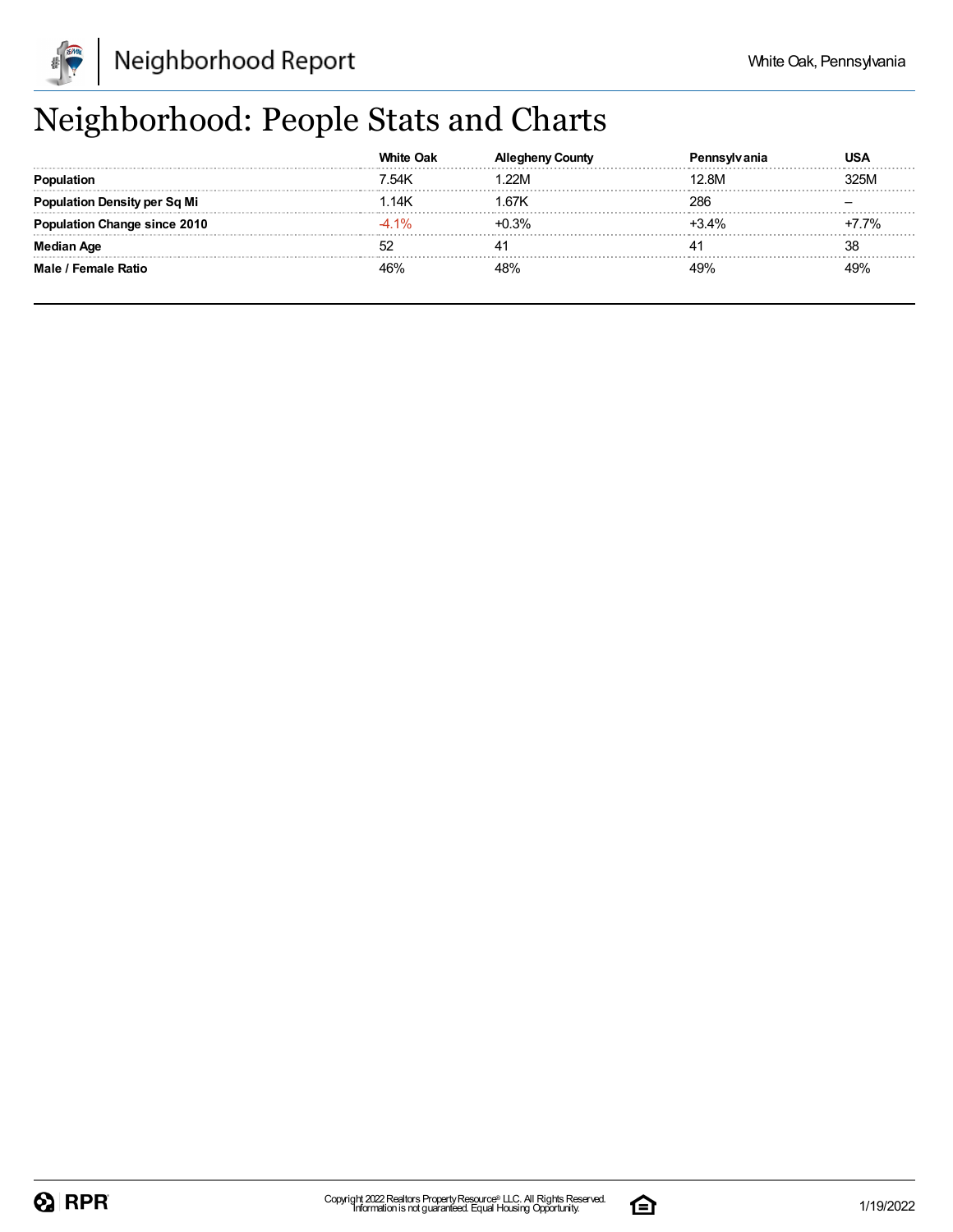

# Neighborhood: People Stats and Charts

|                          | <b>White Oak</b> |         |        | JSA     |
|--------------------------|------------------|---------|--------|---------|
| Population               | 7.54K            | .22M    | 12.8M  | 325M    |
| lation Density per Sq Mi | .14K             | ⊟67K    | 286    |         |
| าtion Change since 2010  | $4.1\%$          | $+0.3%$ | $+34%$ | $+7.7%$ |
| Median Age               |                  |         |        | 38      |
| Male / Female Ratio      | 16%              | 18%     | 49%    | 49%     |

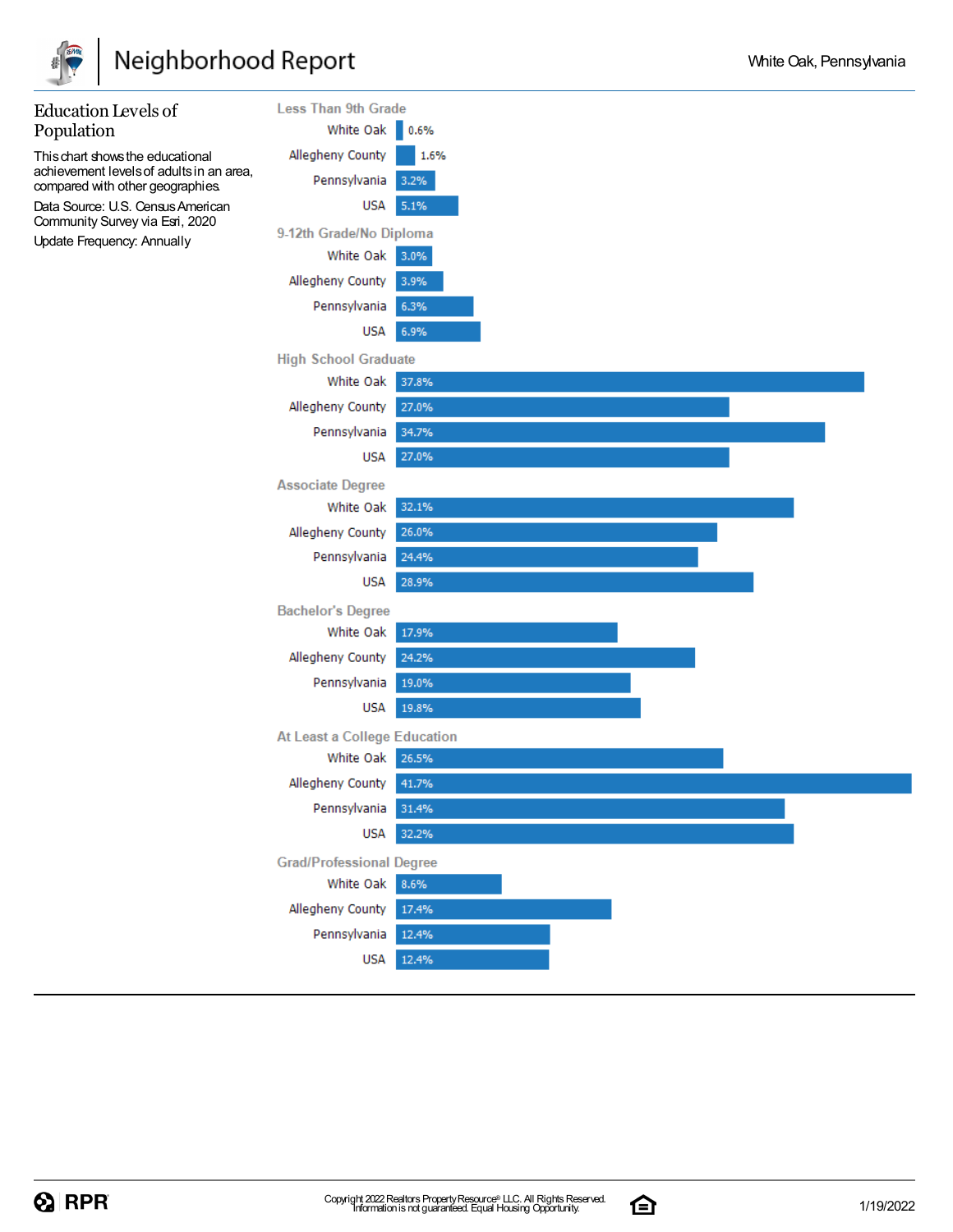

### Neighborhood Report

| Population<br>White Oak<br>0.6%<br>Allegheny County<br>1.6%<br>This chart shows the educational<br>achievement levels of adults in an area,<br>Pennsylvania<br>3.2%<br>compared with other geographies.<br>Data Source: U.S. Census American<br><b>USA</b><br>5.1%<br>Community Survey via Esri, 2020<br>9-12th Grade/No Diploma<br>Update Frequency: Annually<br>White Oak 3.0%<br>Allegheny County<br>3.9%<br>Pennsylvania<br>6.3%<br><b>USA</b><br>6.9%<br><b>High School Graduate</b><br>White Oak<br>37.8%<br>Allegheny County<br>27.0%<br>Pennsylvania<br>34.7%<br>27.0%<br><b>USA</b><br><b>Associate Degree</b><br>White Oak<br>32.1%<br>Allegheny County<br>26.0%<br>Pennsylvania<br>24.4%<br><b>USA</b><br>28.9%<br><b>Bachelor's Degree</b><br>White Oak<br>17.9%<br>Allegheny County<br>24.2%<br>Pennsylvania<br>19.0%<br><b>USA</b><br>19.8%<br>At Least a College Education<br>White Oak<br>26.5%<br>Allegheny County<br>41.7%<br>Pennsylvania<br>31.4%<br>USA<br>32.2%<br><b>Grad/Professional Degree</b><br>White Oak<br>8.6%<br>Allegheny County<br>17.4%<br>Pennsylvania<br>12.4%<br>12.4%<br>USA | <b>Education Levels of</b> | <b>Less Than 9th Grade</b> |  |
|---------------------------------------------------------------------------------------------------------------------------------------------------------------------------------------------------------------------------------------------------------------------------------------------------------------------------------------------------------------------------------------------------------------------------------------------------------------------------------------------------------------------------------------------------------------------------------------------------------------------------------------------------------------------------------------------------------------------------------------------------------------------------------------------------------------------------------------------------------------------------------------------------------------------------------------------------------------------------------------------------------------------------------------------------------------------------------------------------------------------|----------------------------|----------------------------|--|
|                                                                                                                                                                                                                                                                                                                                                                                                                                                                                                                                                                                                                                                                                                                                                                                                                                                                                                                                                                                                                                                                                                                     |                            |                            |  |
|                                                                                                                                                                                                                                                                                                                                                                                                                                                                                                                                                                                                                                                                                                                                                                                                                                                                                                                                                                                                                                                                                                                     |                            |                            |  |
|                                                                                                                                                                                                                                                                                                                                                                                                                                                                                                                                                                                                                                                                                                                                                                                                                                                                                                                                                                                                                                                                                                                     |                            |                            |  |
|                                                                                                                                                                                                                                                                                                                                                                                                                                                                                                                                                                                                                                                                                                                                                                                                                                                                                                                                                                                                                                                                                                                     |                            |                            |  |
|                                                                                                                                                                                                                                                                                                                                                                                                                                                                                                                                                                                                                                                                                                                                                                                                                                                                                                                                                                                                                                                                                                                     |                            |                            |  |
|                                                                                                                                                                                                                                                                                                                                                                                                                                                                                                                                                                                                                                                                                                                                                                                                                                                                                                                                                                                                                                                                                                                     |                            |                            |  |
|                                                                                                                                                                                                                                                                                                                                                                                                                                                                                                                                                                                                                                                                                                                                                                                                                                                                                                                                                                                                                                                                                                                     |                            |                            |  |
|                                                                                                                                                                                                                                                                                                                                                                                                                                                                                                                                                                                                                                                                                                                                                                                                                                                                                                                                                                                                                                                                                                                     |                            |                            |  |
|                                                                                                                                                                                                                                                                                                                                                                                                                                                                                                                                                                                                                                                                                                                                                                                                                                                                                                                                                                                                                                                                                                                     |                            |                            |  |
|                                                                                                                                                                                                                                                                                                                                                                                                                                                                                                                                                                                                                                                                                                                                                                                                                                                                                                                                                                                                                                                                                                                     |                            |                            |  |
|                                                                                                                                                                                                                                                                                                                                                                                                                                                                                                                                                                                                                                                                                                                                                                                                                                                                                                                                                                                                                                                                                                                     |                            |                            |  |
|                                                                                                                                                                                                                                                                                                                                                                                                                                                                                                                                                                                                                                                                                                                                                                                                                                                                                                                                                                                                                                                                                                                     |                            |                            |  |
|                                                                                                                                                                                                                                                                                                                                                                                                                                                                                                                                                                                                                                                                                                                                                                                                                                                                                                                                                                                                                                                                                                                     |                            |                            |  |
|                                                                                                                                                                                                                                                                                                                                                                                                                                                                                                                                                                                                                                                                                                                                                                                                                                                                                                                                                                                                                                                                                                                     |                            |                            |  |
|                                                                                                                                                                                                                                                                                                                                                                                                                                                                                                                                                                                                                                                                                                                                                                                                                                                                                                                                                                                                                                                                                                                     |                            |                            |  |
|                                                                                                                                                                                                                                                                                                                                                                                                                                                                                                                                                                                                                                                                                                                                                                                                                                                                                                                                                                                                                                                                                                                     |                            |                            |  |
|                                                                                                                                                                                                                                                                                                                                                                                                                                                                                                                                                                                                                                                                                                                                                                                                                                                                                                                                                                                                                                                                                                                     |                            |                            |  |
|                                                                                                                                                                                                                                                                                                                                                                                                                                                                                                                                                                                                                                                                                                                                                                                                                                                                                                                                                                                                                                                                                                                     |                            |                            |  |
|                                                                                                                                                                                                                                                                                                                                                                                                                                                                                                                                                                                                                                                                                                                                                                                                                                                                                                                                                                                                                                                                                                                     |                            |                            |  |
|                                                                                                                                                                                                                                                                                                                                                                                                                                                                                                                                                                                                                                                                                                                                                                                                                                                                                                                                                                                                                                                                                                                     |                            |                            |  |
|                                                                                                                                                                                                                                                                                                                                                                                                                                                                                                                                                                                                                                                                                                                                                                                                                                                                                                                                                                                                                                                                                                                     |                            |                            |  |
|                                                                                                                                                                                                                                                                                                                                                                                                                                                                                                                                                                                                                                                                                                                                                                                                                                                                                                                                                                                                                                                                                                                     |                            |                            |  |
|                                                                                                                                                                                                                                                                                                                                                                                                                                                                                                                                                                                                                                                                                                                                                                                                                                                                                                                                                                                                                                                                                                                     |                            |                            |  |
|                                                                                                                                                                                                                                                                                                                                                                                                                                                                                                                                                                                                                                                                                                                                                                                                                                                                                                                                                                                                                                                                                                                     |                            |                            |  |
|                                                                                                                                                                                                                                                                                                                                                                                                                                                                                                                                                                                                                                                                                                                                                                                                                                                                                                                                                                                                                                                                                                                     |                            |                            |  |
|                                                                                                                                                                                                                                                                                                                                                                                                                                                                                                                                                                                                                                                                                                                                                                                                                                                                                                                                                                                                                                                                                                                     |                            |                            |  |
|                                                                                                                                                                                                                                                                                                                                                                                                                                                                                                                                                                                                                                                                                                                                                                                                                                                                                                                                                                                                                                                                                                                     |                            |                            |  |
|                                                                                                                                                                                                                                                                                                                                                                                                                                                                                                                                                                                                                                                                                                                                                                                                                                                                                                                                                                                                                                                                                                                     |                            |                            |  |
|                                                                                                                                                                                                                                                                                                                                                                                                                                                                                                                                                                                                                                                                                                                                                                                                                                                                                                                                                                                                                                                                                                                     |                            |                            |  |
|                                                                                                                                                                                                                                                                                                                                                                                                                                                                                                                                                                                                                                                                                                                                                                                                                                                                                                                                                                                                                                                                                                                     |                            |                            |  |
|                                                                                                                                                                                                                                                                                                                                                                                                                                                                                                                                                                                                                                                                                                                                                                                                                                                                                                                                                                                                                                                                                                                     |                            |                            |  |
|                                                                                                                                                                                                                                                                                                                                                                                                                                                                                                                                                                                                                                                                                                                                                                                                                                                                                                                                                                                                                                                                                                                     |                            |                            |  |
|                                                                                                                                                                                                                                                                                                                                                                                                                                                                                                                                                                                                                                                                                                                                                                                                                                                                                                                                                                                                                                                                                                                     |                            |                            |  |
|                                                                                                                                                                                                                                                                                                                                                                                                                                                                                                                                                                                                                                                                                                                                                                                                                                                                                                                                                                                                                                                                                                                     |                            |                            |  |

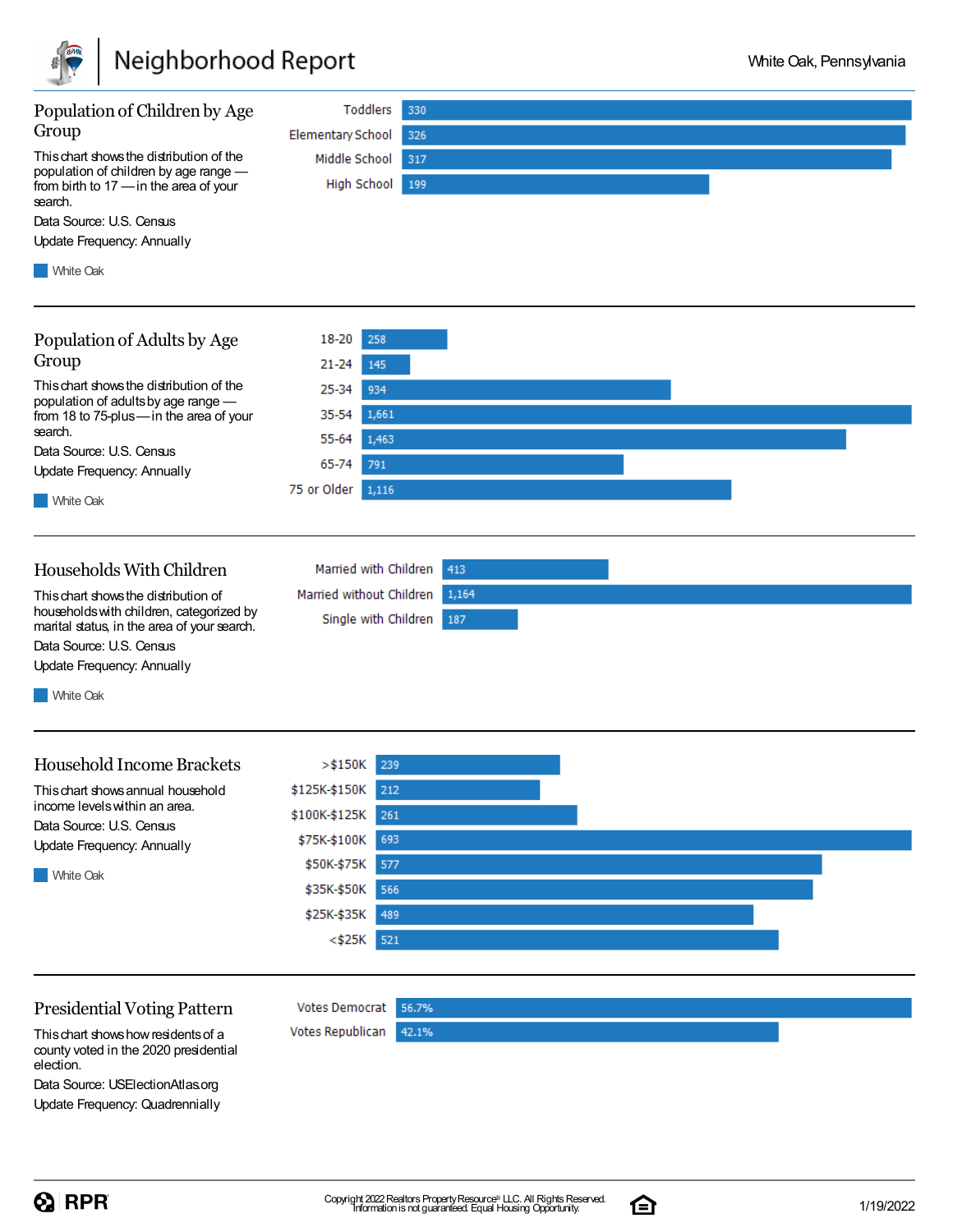

| Population of Children by Age<br>Group<br>This chart shows the distribution of the<br>population of children by age range -<br>from birth to 17 - in the area of your<br>search.<br>Data Source: U.S. Census<br>Update Frequency: Annually<br><b>White Oak</b> | Toddlers<br><b>Elementary School</b><br>Middle School<br>High School                                                                                                        | 330<br>326<br>317<br>199 |
|----------------------------------------------------------------------------------------------------------------------------------------------------------------------------------------------------------------------------------------------------------------|-----------------------------------------------------------------------------------------------------------------------------------------------------------------------------|--------------------------|
| Population of Adults by Age<br>Group<br>This chart shows the distribution of the<br>population of adults by age range -<br>from 18 to 75-plus-in the area of your<br>search.<br>Data Source: U.S. Census<br>Update Frequency: Annually<br><b>White Oak</b>     | 18-20<br>258<br>21-24<br>145<br>25-34<br>934<br>1,661<br>35-54<br>55-64<br>1,463<br>65-74<br>791<br>75 or Older<br>1,116                                                    |                          |
| Households With Children<br>This chart shows the distribution of<br>households with children, categorized by<br>marital status, in the area of your search.<br>Data Source: U.S. Census<br>Update Frequency: Annually<br><b>White Oak</b>                      | Married with Children<br>Married without Children<br>Single with Children                                                                                                   | 413<br>1,164<br>187      |
| <b>Household Income Brackets</b><br>This chart shows annual household<br>income levels within an area.<br>Data Source: U.S. Census<br>Update Frequency: Annually<br><b>White Oak</b>                                                                           | $>$ \$150K<br>239<br>\$125K-\$150K 212<br>\$100K-\$125K<br>261<br>693<br>\$75K-\$100K<br>\$50K-\$75K<br>577<br>\$35K-\$50K<br>566<br>\$25K-\$35K<br>489<br>$<$ \$25K<br>521 |                          |
| <b>Presidential Voting Pattern</b><br>This chart shows how residents of a<br>county voted in the 2020 presidential<br>election.                                                                                                                                | Votes Democrat<br>Votes Republican                                                                                                                                          | 56.7%<br>42.1%           |

Data Source: USElectionAtlas.org Update Frequency: Quadrennially

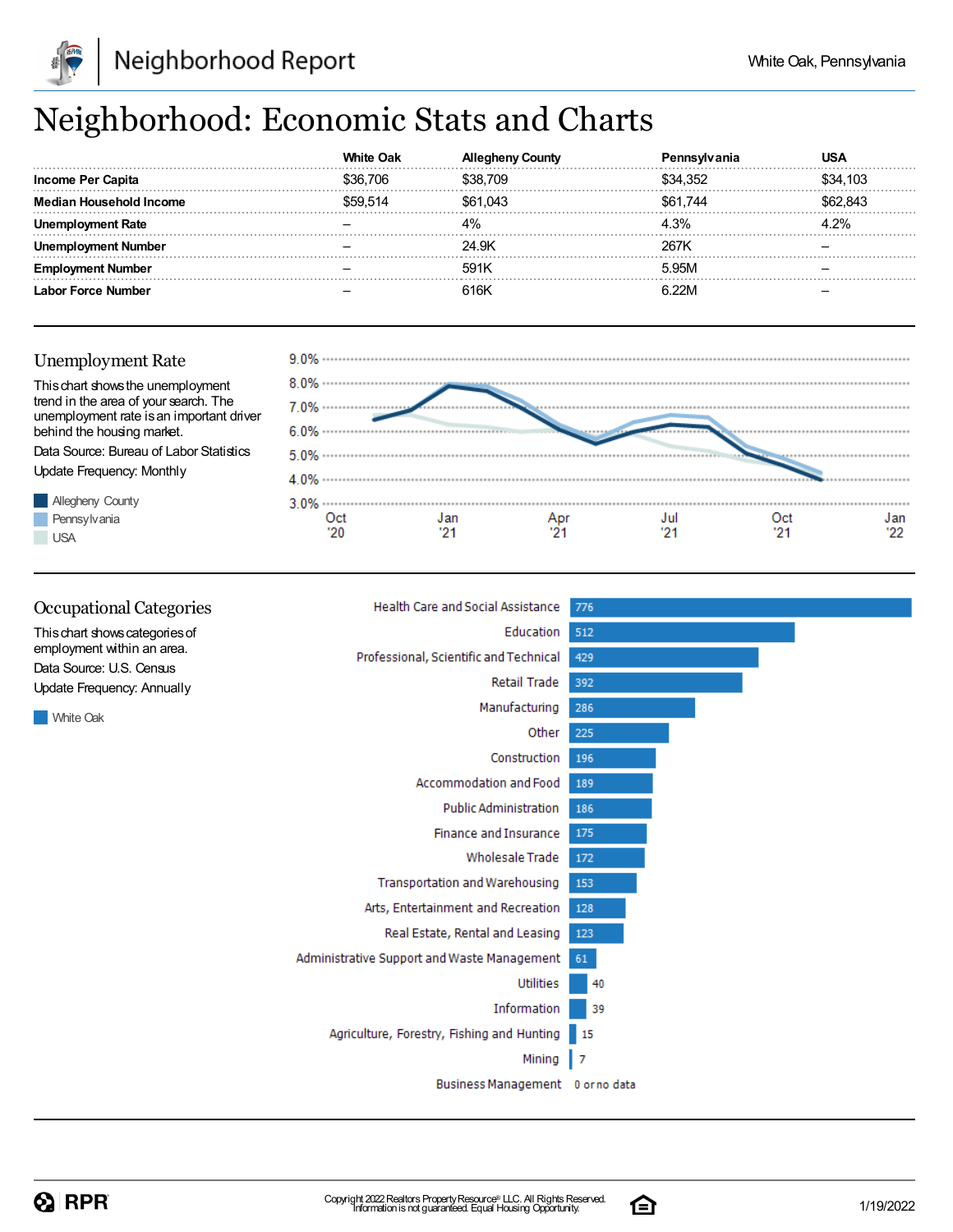

## Neighborhood: Economic Stats and Charts

|                          | White Oak |          |          |          |
|--------------------------|-----------|----------|----------|----------|
| <b>Income Per Capita</b> | 36.706    | `38.709  | \$34.352 | \$34.103 |
| Median Household Income  |           | \$61.043 | \$61,744 | 843      |
| : Rate                   |           | 4%       | L3%      | 1.2%     |
| Number                   |           | 24.9K    | 267K     |          |
| Number                   |           | 591K     | 5.95M    |          |
| ∟abor Force Number       |           |          |          |          |



Allegheny County Pennsylvania

**USA** 



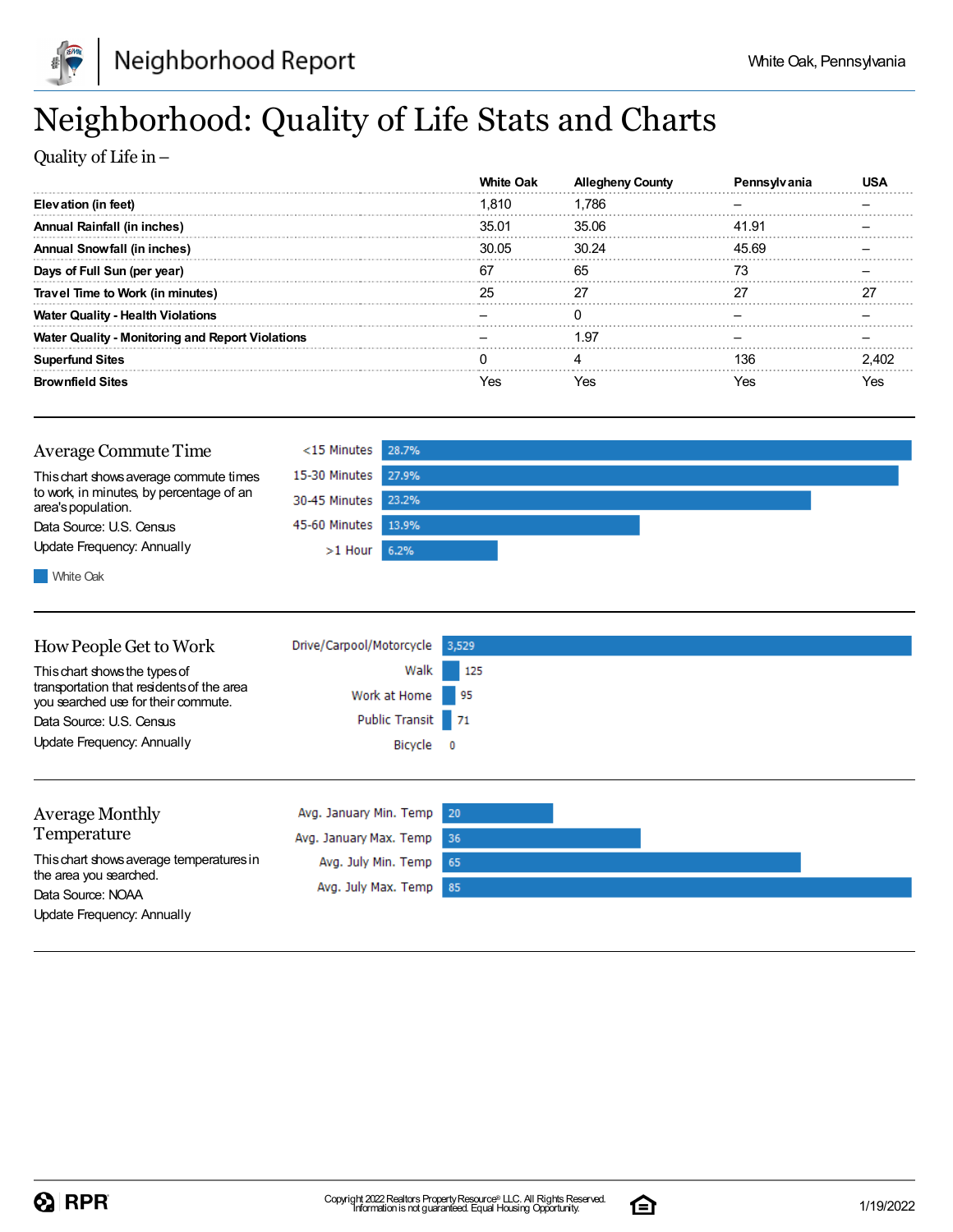

# Neighborhood: Quality of Life Stats and Charts

Quality of Life in–

|                                                  | White Oak |       |       |  |
|--------------------------------------------------|-----------|-------|-------|--|
| Elevation (in feet)                              | 1.810     | 1.786 |       |  |
| Annual Rainfall (in inches)                      | 35.01     | 35.06 | 41.91 |  |
| <b>Annual Snowfall (in inches)</b>               | 30.05     | 30.24 | 45.69 |  |
| Days of Full Sun (per year)                      | 67        | 65    |       |  |
| Travel Time to Work (in minutes)                 |           |       |       |  |
| <b>Water Quality - Health Violations</b>         |           |       |       |  |
| Water Quality - Monitoring and Report Violations |           | 1.97  |       |  |
| <b>Superfund Sites</b>                           |           |       | 136   |  |
| <b>Brownfield Sites</b>                          |           | 'es   | Yes   |  |

| Average Commute Time                                           | $<$ 15 Minutes 28.7% |  |
|----------------------------------------------------------------|----------------------|--|
| This chart shows average commute times                         | 15-30 Minutes 27.9%  |  |
| to work, in minutes, by percentage of an<br>area's population. | 30-45 Minutes 23.2%  |  |
| Data Source: U.S. Census                                       | 45-60 Minutes 13.9%  |  |
| Update Frequency: Annually                                     | $>1$ Hour 6.2%       |  |
|                                                                |                      |  |

**White Oak** 

| How People Get to Work                                                                                            | Drive/Carpool/Motorcycle | 3,529       |
|-------------------------------------------------------------------------------------------------------------------|--------------------------|-------------|
| This chart shows the types of<br>transportation that residents of the area<br>you searched use for their commute. | Walk<br>Work at Home     | 125<br>l 95 |
| Data Source: U.S. Census                                                                                          | Public Transit 71        |             |
| Update Frequency: Annually                                                                                        | Bicycle                  | $^{\circ}$  |
|                                                                                                                   |                          |             |
| <b>Average Monthly</b>                                                                                            | Avg. January Min. Temp   | 20          |
| Temperature                                                                                                       | Avg. January Max. Temp   | 36          |
| This chart shows average temperatures in<br>the area you searched.                                                | Avg. July Min. Temp      | 65          |
| Data Source: NOAA                                                                                                 | Avg. July Max. Temp      | 85          |

Update Frequency: Annually

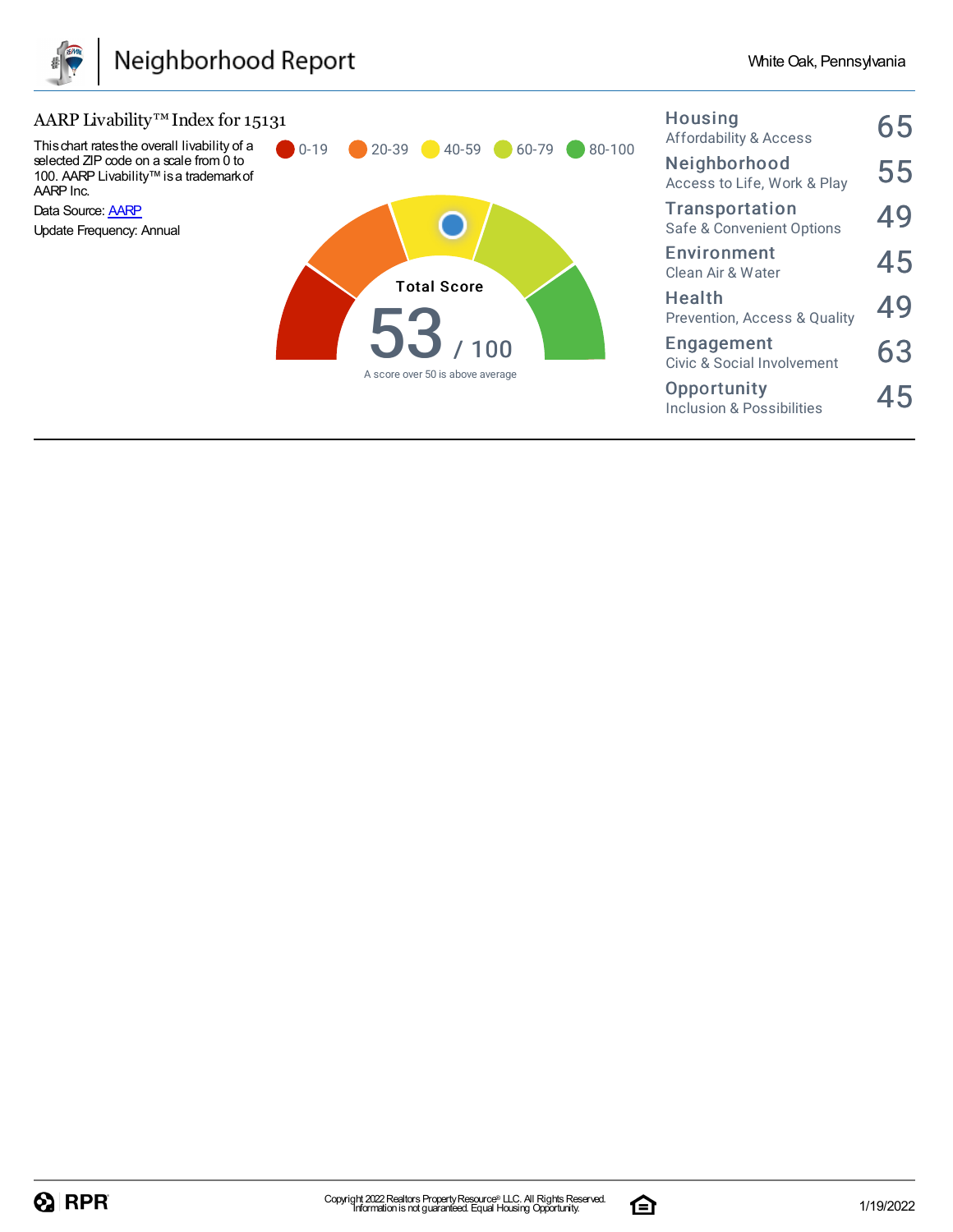